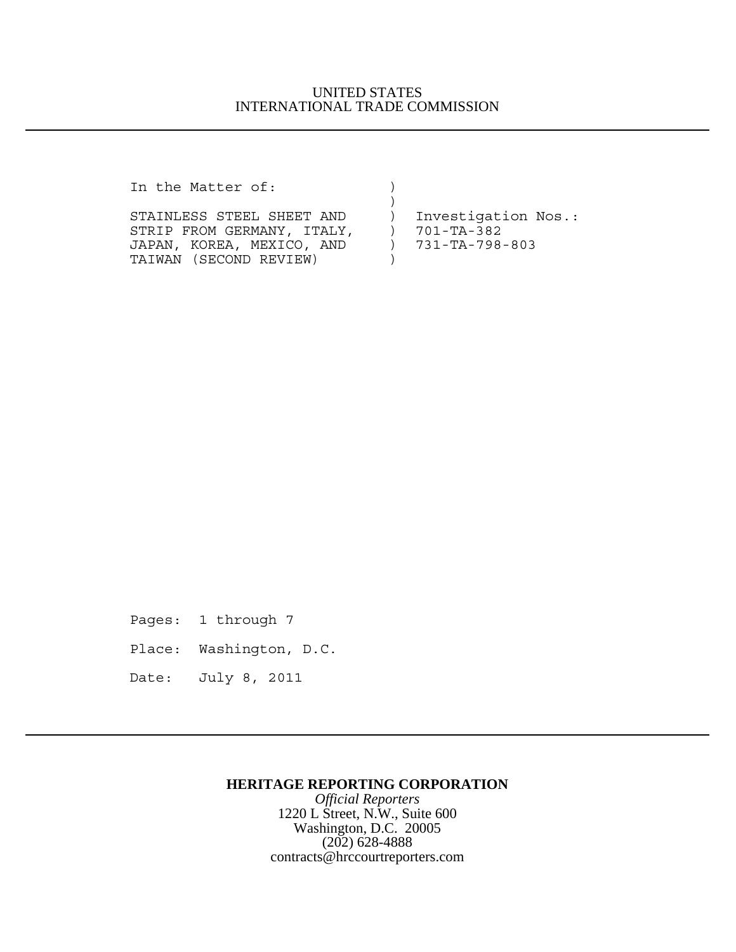## UNITED STATES INTERNATIONAL TRADE COMMISSION

In the Matter of: )

| STAINLESS STEEL SHEET AND  | Investigation Nos.: |
|----------------------------|---------------------|
| STRIP FROM GERMANY, ITALY, | 701-TA-382          |
| JAPAN, KOREA, MEXICO, AND  | 731-TA-798-803      |
| TAIWAN (SECOND REVIEW)     |                     |

Pages: 1 through 7

Place: Washington, D.C.

Date: July 8, 2011

### **HERITAGE REPORTING CORPORATION**

*Official Reporters* 1220 L Street, N.W., Suite 600 Washington, D.C. 20005  $(202)$  628-4888 contracts@hrccourtreporters.com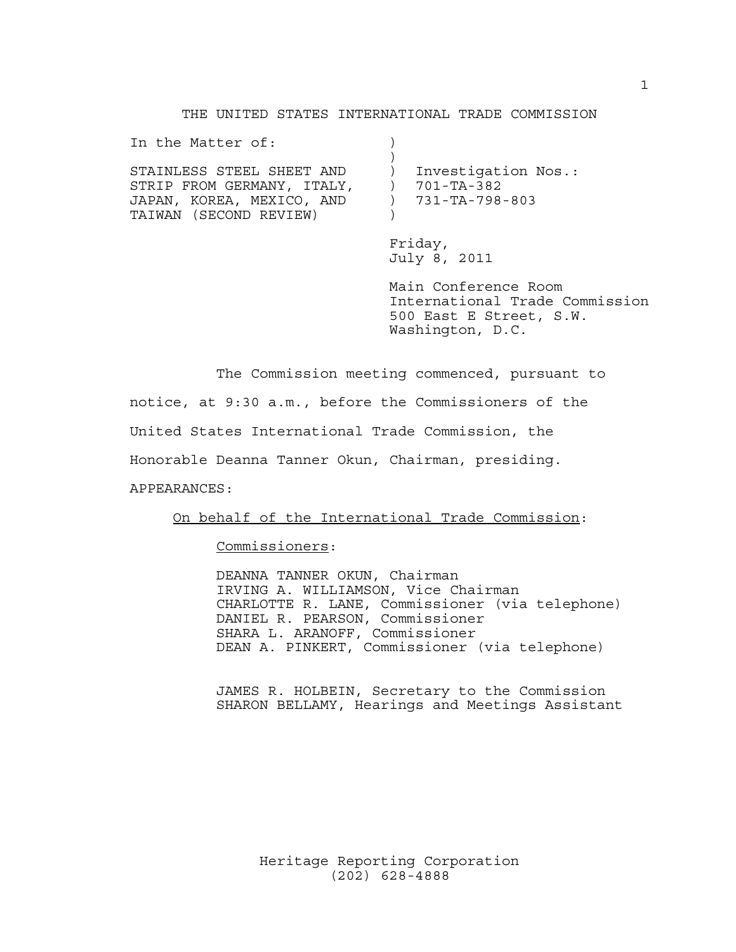#### THE UNITED STATES INTERNATIONAL TRADE COMMISSION

| In the Matter of:                                                                                              |                                                     |
|----------------------------------------------------------------------------------------------------------------|-----------------------------------------------------|
| STAINLESS STEEL SHEET AND<br>STRIP FROM GERMANY, ITALY,<br>JAPAN, KOREA, MEXICO, AND<br>TAIWAN (SECOND REVIEW) | Investigation Nos.:<br>701-TA-382<br>731-TA-798-803 |

Friday, July 8, 2011

Main Conference Room International Trade Commission 500 East E Street, S.W. Washington, D.C.

The Commission meeting commenced, pursuant to notice, at 9:30 a.m., before the Commissioners of the United States International Trade Commission, the Honorable Deanna Tanner Okun, Chairman, presiding. APPEARANCES:

### On behalf of the International Trade Commission:

Commissioners:

DEANNA TANNER OKUN, Chairman IRVING A. WILLIAMSON, Vice Chairman CHARLOTTE R. LANE, Commissioner (via telephone) DANIEL R. PEARSON, Commissioner SHARA L. ARANOFF, Commissioner DEAN A. PINKERT, Commissioner (via telephone)

JAMES R. HOLBEIN, Secretary to the Commission SHARON BELLAMY, Hearings and Meetings Assistant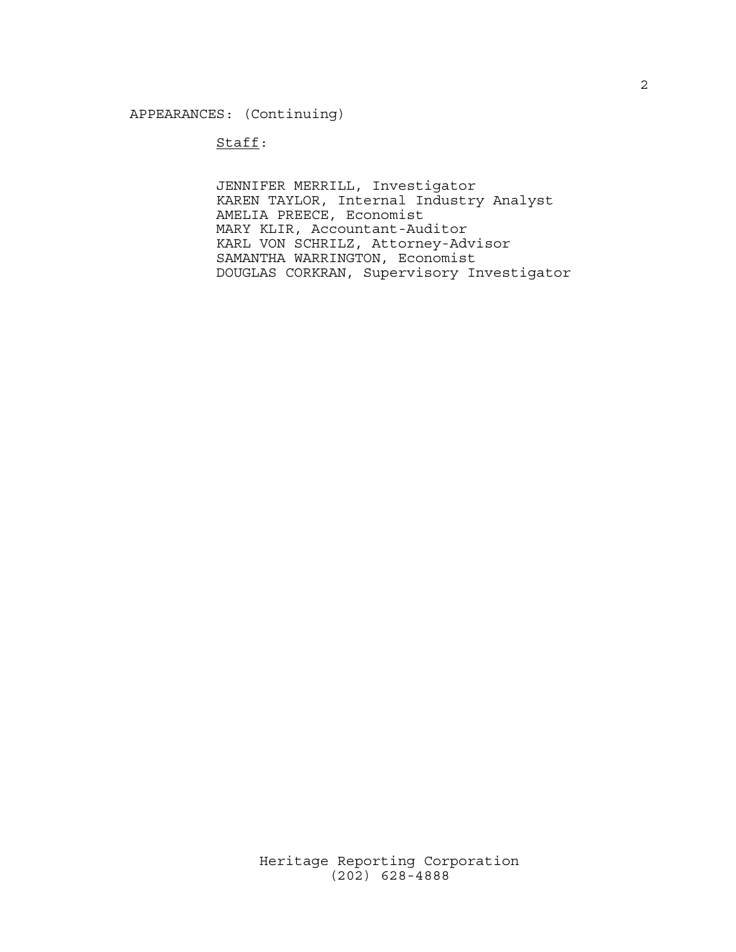### APPEARANCES: (Continuing)

#### Staff:

JENNIFER MERRILL, Investigator KAREN TAYLOR, Internal Industry Analyst AMELIA PREECE, Economist MARY KLIR, Accountant-Auditor KARL VON SCHRILZ, Attorney-Advisor SAMANTHA WARRINGTON, Economist DOUGLAS CORKRAN, Supervisory Investigator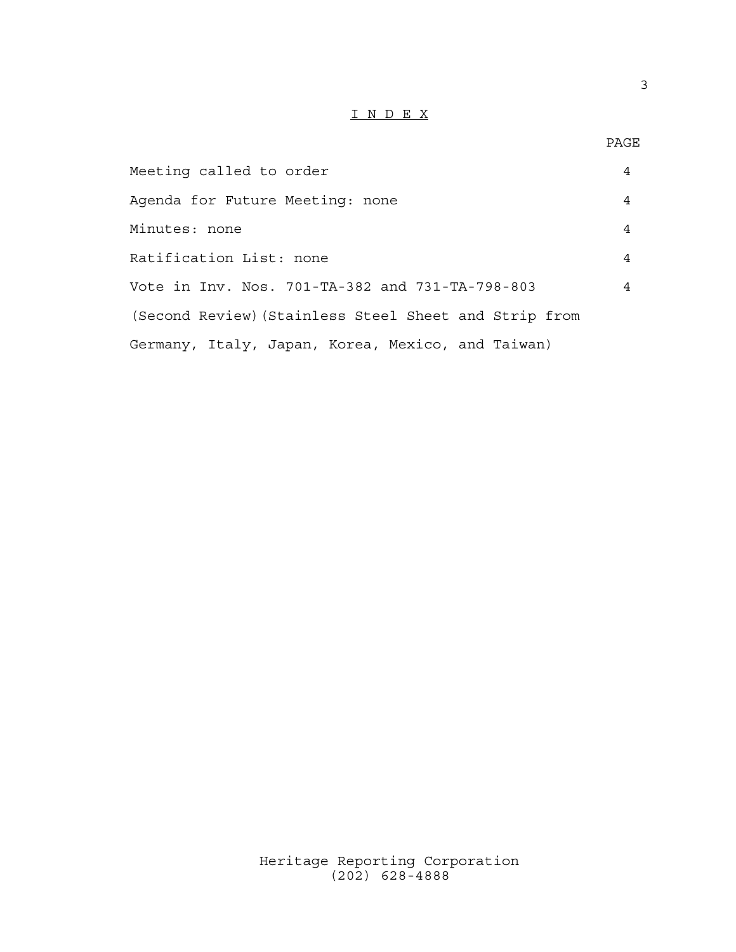# I N D E X

### PAGE

| Meeting called to order                               | 4              |
|-------------------------------------------------------|----------------|
| Agenda for Future Meeting: none                       | 4              |
| Minutes: none                                         | $\overline{4}$ |
| Ratification List: none                               | 4              |
| Vote in Inv. Nos. 701-TA-382 and 731-TA-798-803       | 4              |
| (Second Review) (Stainless Steel Sheet and Strip from |                |
| Germany, Italy, Japan, Korea, Mexico, and Taiwan)     |                |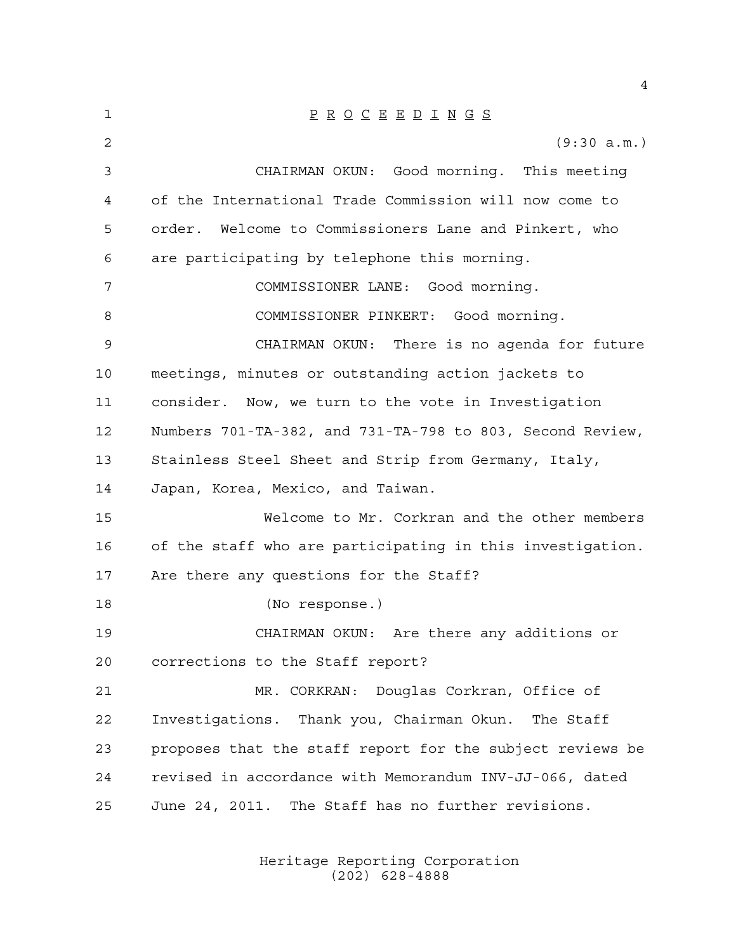| $\mathbf 1$ | $\underline{P} \underline{R} \underline{O} \underline{C} \underline{E} \underline{E} \underline{D} \underline{I} \underline{N} \underline{G} \underline{S}$ |
|-------------|-------------------------------------------------------------------------------------------------------------------------------------------------------------|
| 2           | (9:30 a.m.)                                                                                                                                                 |
| 3           | CHAIRMAN OKUN: Good morning. This meeting                                                                                                                   |
| 4           | of the International Trade Commission will now come to                                                                                                      |
| 5           | order. Welcome to Commissioners Lane and Pinkert, who                                                                                                       |
| 6           | are participating by telephone this morning.                                                                                                                |
| 7           | COMMISSIONER LANE: Good morning.                                                                                                                            |
| 8           | COMMISSIONER PINKERT: Good morning.                                                                                                                         |
| 9           | CHAIRMAN OKUN: There is no agenda for future                                                                                                                |
| 10          | meetings, minutes or outstanding action jackets to                                                                                                          |
| 11          | consider. Now, we turn to the vote in Investigation                                                                                                         |
| 12          | Numbers 701-TA-382, and 731-TA-798 to 803, Second Review,                                                                                                   |
| 13          | Stainless Steel Sheet and Strip from Germany, Italy,                                                                                                        |
| 14          | Japan, Korea, Mexico, and Taiwan.                                                                                                                           |
| 15          | Welcome to Mr. Corkran and the other members                                                                                                                |
| 16          | of the staff who are participating in this investigation.                                                                                                   |
| 17          | Are there any questions for the Staff?                                                                                                                      |
| 18          | (No response.)                                                                                                                                              |
| 19          | CHAIRMAN OKUN: Are there any additions or                                                                                                                   |
| 20          | corrections to the Staff report?                                                                                                                            |
| 21          | MR. CORKRAN: Douglas Corkran, Office of                                                                                                                     |
| 22          | Investigations. Thank you, Chairman Okun. The Staff                                                                                                         |
| 23          | proposes that the staff report for the subject reviews be                                                                                                   |
| 24          | revised in accordance with Memorandum INV-JJ-066, dated                                                                                                     |
| 25          | June 24, 2011. The Staff has no further revisions.                                                                                                          |
|             |                                                                                                                                                             |

Heritage Reporting Corporation (202) 628-4888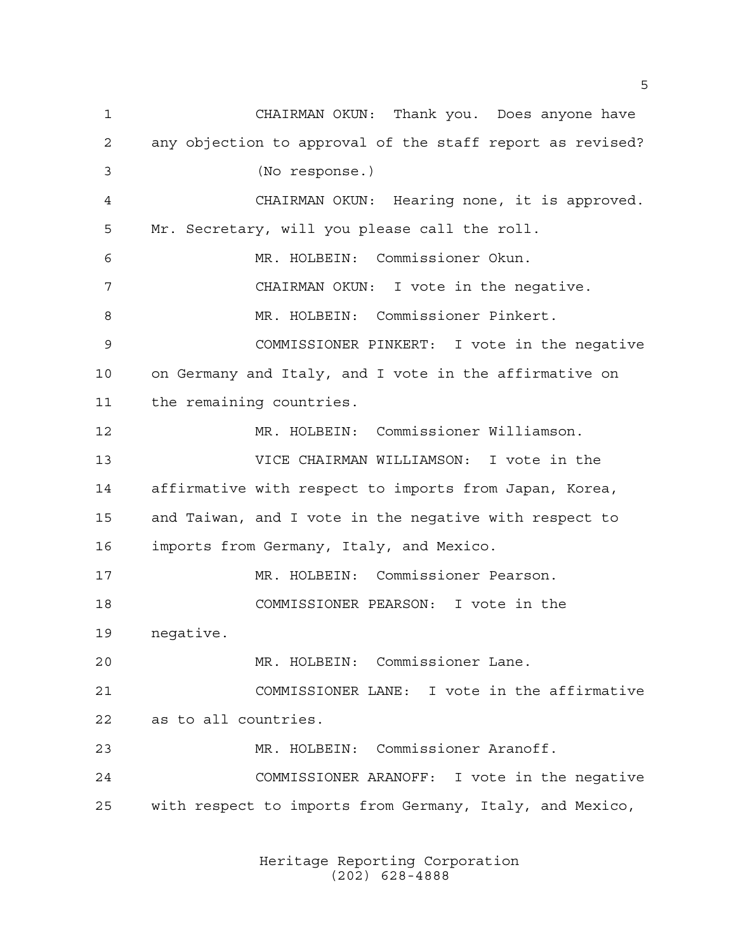CHAIRMAN OKUN: Thank you. Does anyone have any objection to approval of the staff report as revised? (No response.) CHAIRMAN OKUN: Hearing none, it is approved. Mr. Secretary, will you please call the roll. MR. HOLBEIN: Commissioner Okun. CHAIRMAN OKUN: I vote in the negative. MR. HOLBEIN: Commissioner Pinkert. COMMISSIONER PINKERT: I vote in the negative on Germany and Italy, and I vote in the affirmative on the remaining countries. MR. HOLBEIN: Commissioner Williamson. VICE CHAIRMAN WILLIAMSON: I vote in the affirmative with respect to imports from Japan, Korea, and Taiwan, and I vote in the negative with respect to imports from Germany, Italy, and Mexico. MR. HOLBEIN: Commissioner Pearson. COMMISSIONER PEARSON: I vote in the negative. MR. HOLBEIN: Commissioner Lane. COMMISSIONER LANE: I vote in the affirmative as to all countries. MR. HOLBEIN: Commissioner Aranoff. COMMISSIONER ARANOFF: I vote in the negative with respect to imports from Germany, Italy, and Mexico,

> Heritage Reporting Corporation (202) 628-4888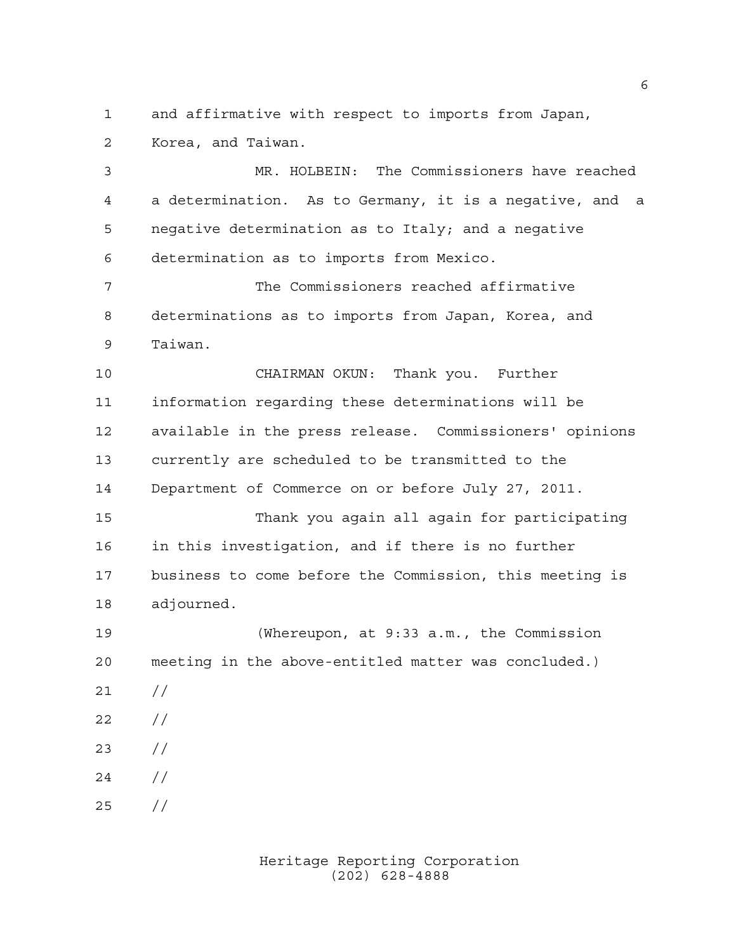and affirmative with respect to imports from Japan,

Korea, and Taiwan.

 MR. HOLBEIN: The Commissioners have reached a determination. As to Germany, it is a negative, and a negative determination as to Italy; and a negative determination as to imports from Mexico. The Commissioners reached affirmative determinations as to imports from Japan, Korea, and Taiwan. CHAIRMAN OKUN: Thank you. Further information regarding these determinations will be available in the press release. Commissioners' opinions currently are scheduled to be transmitted to the Department of Commerce on or before July 27, 2011. Thank you again all again for participating in this investigation, and if there is no further business to come before the Commission, this meeting is adjourned. (Whereupon, at 9:33 a.m., the Commission meeting in the above-entitled matter was concluded.)  $21 /$  $22 / /$  //  $24 /$ //

> Heritage Reporting Corporation (202) 628-4888